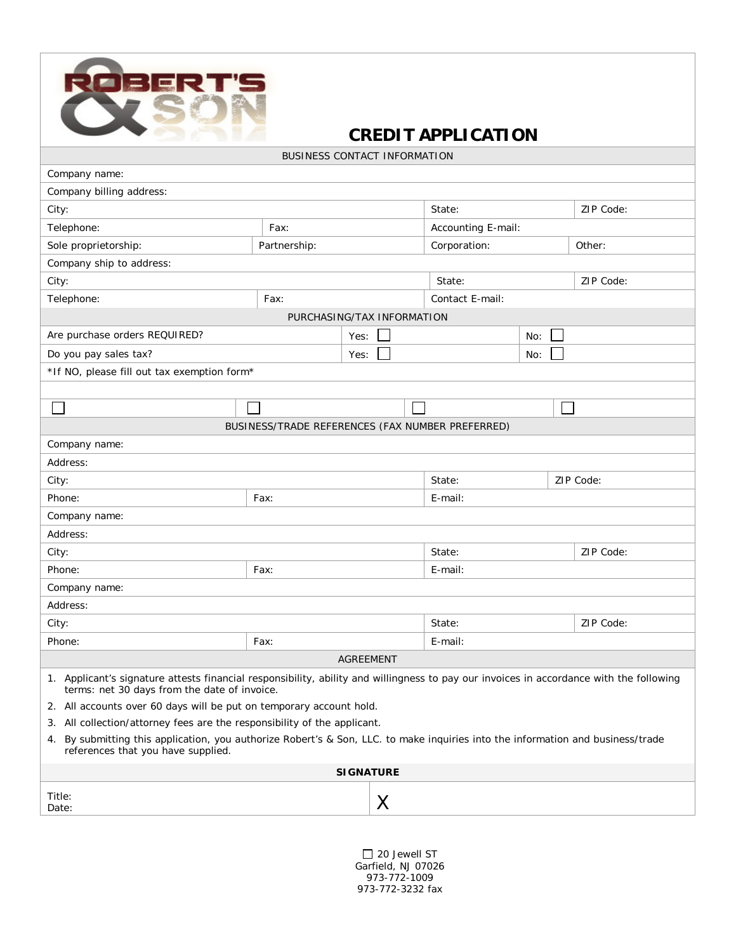

## **CREDIT APPLICATION**

BUSINESS CONTACT INFORMATION

| Company name:                                                                                                                                                                           |              |      |                                                  |            |           |  |  |
|-----------------------------------------------------------------------------------------------------------------------------------------------------------------------------------------|--------------|------|--------------------------------------------------|------------|-----------|--|--|
| Company billing address:                                                                                                                                                                |              |      |                                                  |            |           |  |  |
| City:                                                                                                                                                                                   |              |      | State:                                           |            | ZIP Code: |  |  |
| Telephone:                                                                                                                                                                              | Fax:         |      | Accounting E-mail:                               |            |           |  |  |
| Sole proprietorship:                                                                                                                                                                    | Partnership: |      | Corporation:                                     |            | Other:    |  |  |
| Company ship to address:                                                                                                                                                                |              |      |                                                  |            |           |  |  |
| City:                                                                                                                                                                                   |              |      | State:                                           |            | ZIP Code: |  |  |
| Telephone:                                                                                                                                                                              | Fax:         |      | Contact E-mail:                                  |            |           |  |  |
| PURCHASING/TAX INFORMATION                                                                                                                                                              |              |      |                                                  |            |           |  |  |
| Are purchase orders REQUIRED?                                                                                                                                                           |              | Yes: |                                                  | No:        |           |  |  |
| Do you pay sales tax?                                                                                                                                                                   |              | Yes: | No:                                              |            |           |  |  |
| *If NO, please fill out tax exemption form*                                                                                                                                             |              |      |                                                  |            |           |  |  |
|                                                                                                                                                                                         |              |      |                                                  |            |           |  |  |
|                                                                                                                                                                                         |              |      |                                                  |            |           |  |  |
|                                                                                                                                                                                         |              |      | BUSINESS/TRADE REFERENCES (FAX NUMBER PREFERRED) |            |           |  |  |
| Company name:                                                                                                                                                                           |              |      |                                                  |            |           |  |  |
| Address:                                                                                                                                                                                |              |      |                                                  |            |           |  |  |
| City:                                                                                                                                                                                   |              |      | State:                                           | ZIP Code:  |           |  |  |
| Phone:                                                                                                                                                                                  | Fax:         |      | E-mail:                                          |            |           |  |  |
| Company name:                                                                                                                                                                           |              |      |                                                  |            |           |  |  |
| Address:                                                                                                                                                                                |              |      |                                                  |            |           |  |  |
| City:                                                                                                                                                                                   |              |      | State:                                           |            | ZIP Code: |  |  |
| Phone:                                                                                                                                                                                  | Fax:         |      | E-mail:                                          |            |           |  |  |
| Company name:                                                                                                                                                                           |              |      |                                                  |            |           |  |  |
| Address:                                                                                                                                                                                |              |      |                                                  |            |           |  |  |
| City:                                                                                                                                                                                   |              |      | State:                                           |            | ZIP Code: |  |  |
| Phone:                                                                                                                                                                                  | Fax:         |      |                                                  | $E$ -mail: |           |  |  |
| <b>AGREEMENT</b>                                                                                                                                                                        |              |      |                                                  |            |           |  |  |
| 1. Applicant's signature attests financial responsibility, ability and willingness to pay our invoices in accordance with the following<br>terms: net 30 days from the date of invoice. |              |      |                                                  |            |           |  |  |
| 2. All accounts over 60 days will be put on temporary account hold.                                                                                                                     |              |      |                                                  |            |           |  |  |
| 3. All collection/attorney fees are the responsibility of the applicant.                                                                                                                |              |      |                                                  |            |           |  |  |
| By submitting this application, you authorize Robert's & Son, LLC. to make inquiries into the information and business/trade<br>4.<br>references that you have supplied.                |              |      |                                                  |            |           |  |  |
| <b>SIGNATURE</b>                                                                                                                                                                        |              |      |                                                  |            |           |  |  |
| Title:<br>Date:                                                                                                                                                                         |              | Χ    |                                                  |            |           |  |  |
|                                                                                                                                                                                         |              |      |                                                  |            |           |  |  |

20 Jewell ST Garfield, NJ 07026 973-772-1009 973-772-3232 fax